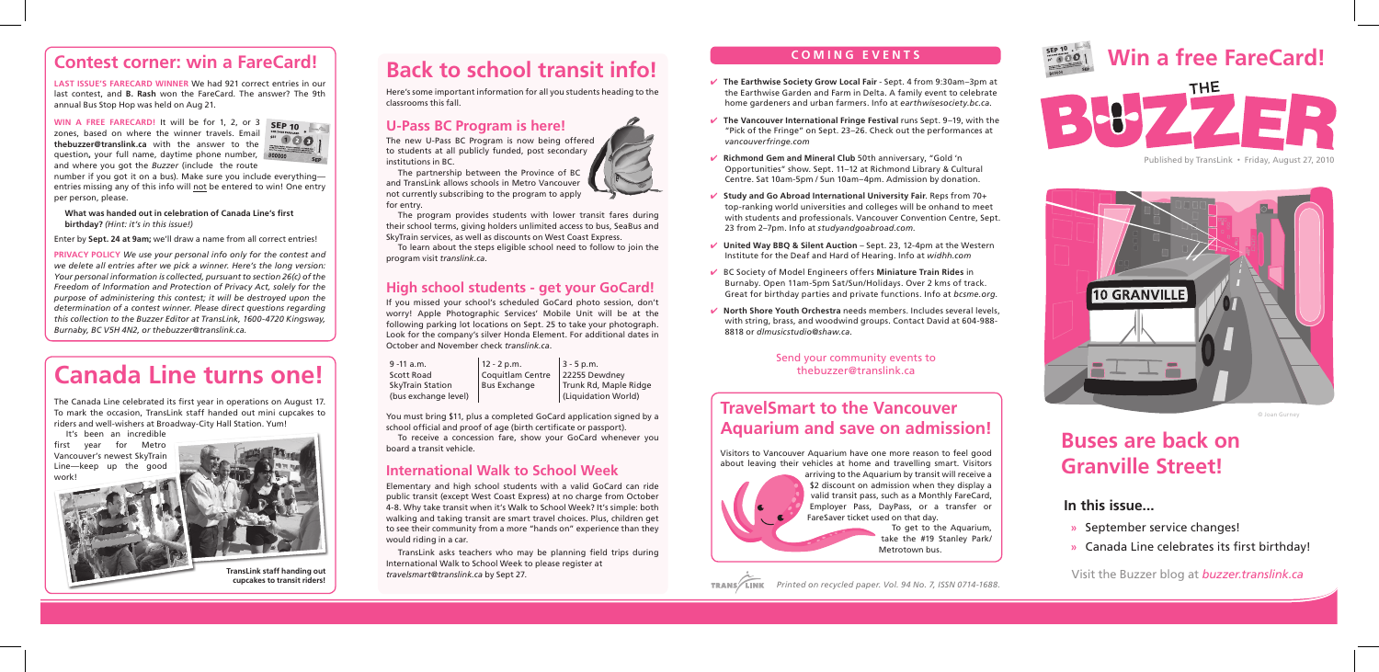#### **C O M I N G E V E N T S**

- ✔ **The Earthwise Society Grow Local Fair** Sept. 4 from 9:30am–3pm at the Earthwise Garden and Farm in Delta. A family event to celebrate home gardeners and urban farmers. Info at *earthwisesociety.bc.ca.*
- ✔ **The Vancouver International Fringe Festival** runs Sept. 9–19, with the "Pick of the Fringe" on Sept. 23–26. Check out the performances at *vancouverfringe.com*
- ✔ **Richmond Gem and Mineral Club** 50th anniversary, "Gold 'n Opportunities" show. Sept. 11–12 at Richmond Library & Cultural Centre. Sat 10am-5pm / Sun 10am–4pm. Admission by donation.
- ✔ **Study and Go Abroad International University Fair**. Reps from 70+ top-ranking world universities and colleges will be onhand to meet with students and professionals. Vancouver Convention Centre, Sept. 23 from 2–7pm. Info at *studyandgoabroad.com.*
- ✔ **United Way BBQ & Silent Auction** Sept. 23, 12-4pm at the Western Institute for the Deaf and Hard of Hearing. Info at *widhh.com*
- ✔ BC Society of Model Engineers offers **Miniature Train Rides** in Burnaby. Open 11am-5pm Sat/Sun/Holidays. Over 2 kms of track. Great for birthday parties and private functions. Info at *bcsme.org.*
- ✔ **North Shore Youth Orchestra** needs members. Includes several levels, with string, brass, and woodwind groups. Contact David at 604-988- 8818 or *dlmusicstudio@shaw.ca*.

### **In this issue...**

- **»** September service changes!
- **»** Canada Line celebrates its first birthday!

## **Contest corner: win a FareCard!**

**Last ISSUE'S FARECARD Winner** We had 921 correct entries in our last contest, and **B. Rash** won the FareCard. The answer? The 9th annual Bus Stop Hop was held on Aug 21.

**WIN A FREE FARECARD!** It will be for 1, 2, or 3 zones, based on where the winner travels. Email **thebuzzer@translink.ca** with the answer to the question**,** your full name, daytime phone number, and where you got the *Buzzer* (include the route

number if you got it on a bus). Make sure you include everything entries missing any of this info will not be entered to win! One entry per person, please.

#### **What was handed out in celebration of Canada Line's first birthday?** *(Hint: it's in this issue!)*

Enter by **Sept. 24 at 9am;** we'll draw a name from all correct entries!

**PRIVACY POLICY** *We use your personal info only for the contest and we delete all entries after we pick a winner. Here's the long version: Your personal information is collected, pursuant to section 26(c) of the Freedom of Information and Protection of Privacy Act, solely for the purpose of administering this contest; it will be destroyed upon the determination of a contest winner. Please direct questions regarding this collection to the Buzzer Editor at TransLink, 1600-4720 Kingsway, Burnaby, BC V5H 4N2, or thebuzzer@translink.ca.*















#### Send your community events to thebuzzer@translink.ca

© Joan Gurney

Visit the Buzzer blog at *buzzer.translink.ca*

Published by TransLink • Friday, August 27, 2010



# **Back to school transit info!**

Here's some important information for all you students heading to the classrooms this fall.

#### **U-Pass BC Program is here!**

The new U-Pass BC Program is now being offered to students at all publicly funded, post secondary institutions in BC.

The partnership between the Province of BC and TransLink allows schools in Metro Vancouver not currently subscribing to the program to apply for entry.

The program provides students with lower transit fares during their school terms, giving holders unlimited access to bus, SeaBus and SkyTrain services, as well as discounts on West Coast Express.

To learn about the steps eligible school need to follow to join the program visit *translink.ca*.

#### **High school students - get your GoCard!**

If you missed your school's scheduled GoCard photo session, don't worry! Apple Photographic Services' Mobile Unit will be at the following parking lot locations on Sept. 25 to take your photograph. Look for the company's silver Honda Element. For additional dates in October and November check *translink.ca*.

9 -11 a.m. Scott Road SkyTrain Station (bus exchange level)  $12 - 2$  p.m. Coquitlam Centre Bus Exchange  $3 - 5$  p.m. 22255 Dewdney Trunk Rd, Maple Ridge (Liquidation World)

You must bring \$11, plus a completed GoCard application signed by a school official and proof of age (birth certificate or passport).

To receive a concession fare, show your GoCard whenever you board a transit vehicle.

#### **International Walk to School Week**

Elementary and high school students with a valid GoCard can ride public transit (except West Coast Express) at no charge from October 4-8. Why take transit when it's Walk to School Week? It's simple: both walking and taking transit are smart travel choices. Plus, children get to see their community from a more "hands on" experience than they would riding in a car.

TransLink asks teachers who may be planning field trips during International Walk to School Week to please register at *travelsmart@translink.ca* by Sept 27.

# **Buses are back on Granville Street!**

## **TravelSmart to the Vancouver Aquarium and save on admission!**

Visitors to Vancouver Aquarium have one more reason to feel good about leaving their vehicles at home and travelling smart. Visitors

arriving to the Aquarium by transit will receive a \$2 discount on admission when they display a valid transit pass, such as a Monthly FareCard, Employer Pass, DayPass, or a transfer or FareSaver ticket used on that day.

To get to the Aquarium, take the #19 Stanley Park/ Metrotown bus.

# **Canada Line turns one!**

The Canada Line celebrated its first year in operations on August 17. To mark the occasion, TransLink staff handed out mini cupcakes to riders and well-wishers at Broadway-City Hall Station. Yum!

It's been an incredible first year for Metro Vancouver's newest SkyTrain Line—keep up the good work!



**TransLink staff handing out cupcakes to transit riders!**